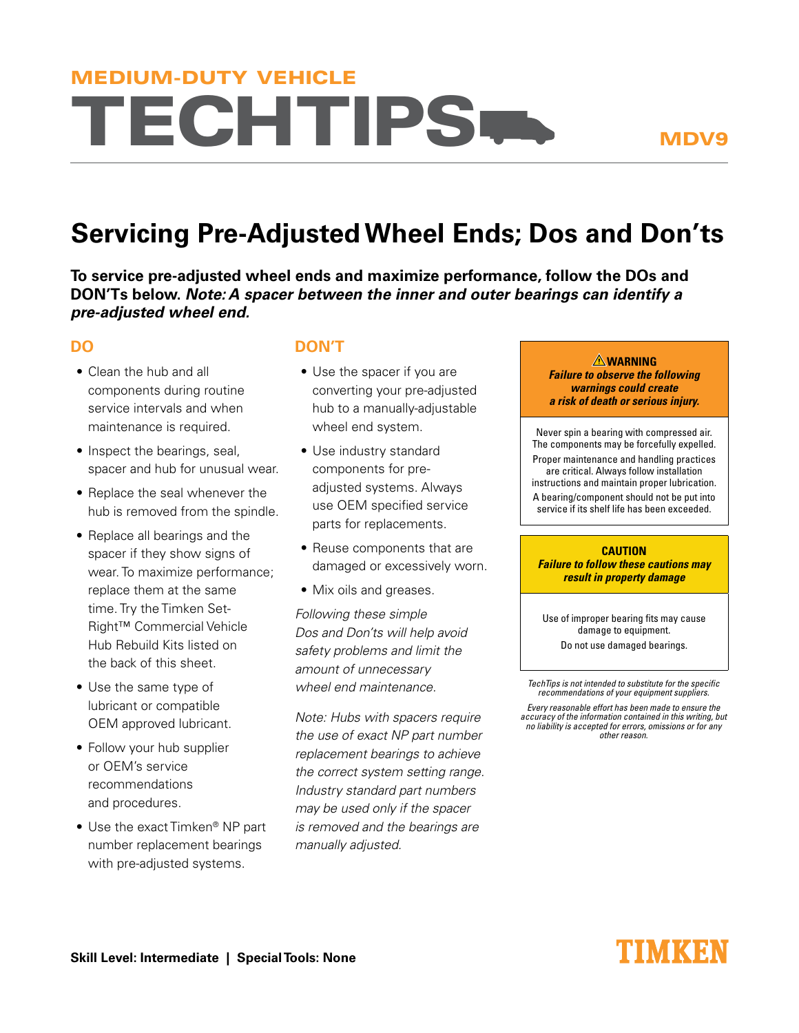# **TECHTIPS-**MEDIUM-DUTY VEHICLE

## **Servicing Pre-Adjusted Wheel Ends; Dos and Don'ts**

**To service pre-adjusted wheel ends and maximize performance, follow the DOs and DON'Ts below.** *Note: A spacer between the inner and outer bearings can identify a pre-adjusted wheel end.*

### **DO**

- Clean the hub and all components during routine service intervals and when maintenance is required.
- Inspect the bearings, seal, spacer and hub for unusual wear.
- Replace the seal whenever the hub is removed from the spindle.
- Replace all bearings and the spacer if they show signs of wear. To maximize performance; replace them at the same time. Try the Timken Set-Right™ Commercial Vehicle Hub Rebuild Kits listed on the back of this sheet.
- Use the same type of lubricant or compatible OEM approved lubricant.
- Follow your hub supplier or OEM's service recommendations and procedures.
- $\bullet$  Use the exact Timken® NP part number replacement bearings with pre-adjusted systems.

#### **DON'T**

- Use the spacer if you are converting your pre-adjusted hub to a manually-adjustable wheel end system.
- Use industry standard components for preadjusted systems. Always use OEM specified service parts for replacements.
- Reuse components that are damaged or excessively worn.
- Mix oils and greases.

*Following these simple Dos and Don'ts will help avoid safety problems and limit the amount of unnecessary wheel end maintenance.*

*Note: Hubs with spacers require the use of exact NP part number replacement bearings to achieve the correct system setting range. Industry standard part numbers may be used only if the spacer is removed and the bearings are manually adjusted.*

**WARNING Failure to observe the following warnings could create a risk of death or serious injury.**

Never spin a bearing with compressed air. The components may be forcefully expelled. Proper maintenance and handling practices are critical. Always follow installation instructions and maintain proper lubrication. A bearing/component should not be put into service if its shelf life has been exceeded.

#### **CAUTION Failure to follow these cautions may result in property damage**

Use of improper bearing fits may cause damage to equipment. Do not use damaged bearings.

TechTips is not intended to substitute for the specific recommendations of your equipment suppliers.

Every reasonable effort has been made to ensure the accuracy of the information contained in this writing, but no liability is accepted for errors, omissions or for any other reason.